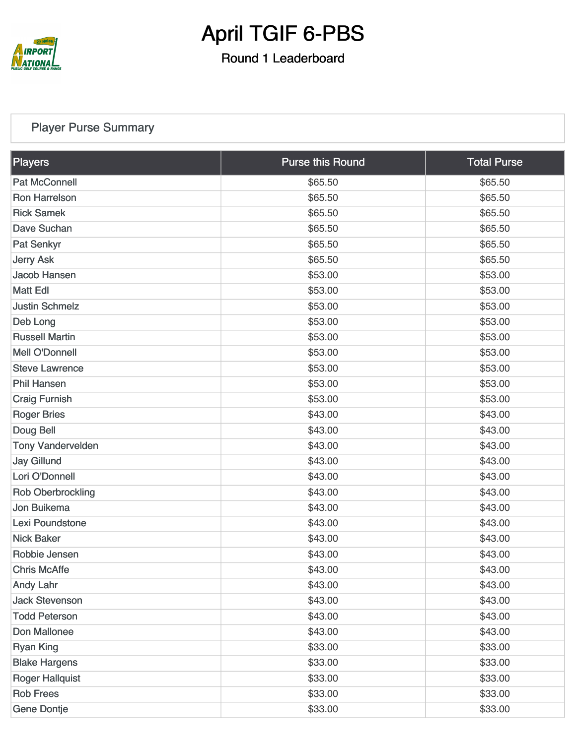

Round 1 Leaderboard

#### [Player Purse Summary](https://static.golfgenius.com/v2tournaments/total_purse?league_id=8430329643663393483&round_id=8430338618098221817)

| Players                  | <b>Purse this Round</b> | <b>Total Purse</b> |
|--------------------------|-------------------------|--------------------|
| <b>Pat McConnell</b>     | \$65.50                 | \$65.50            |
| <b>Ron Harrelson</b>     | \$65.50                 | \$65.50            |
| <b>Rick Samek</b>        | \$65.50                 | \$65.50            |
| Dave Suchan              | \$65.50                 | \$65.50            |
| Pat Senkyr               | \$65.50                 | \$65.50            |
| <b>Jerry Ask</b>         | \$65.50                 | \$65.50            |
| Jacob Hansen             | \$53.00                 | \$53.00            |
| <b>Matt Edl</b>          | \$53.00                 | \$53.00            |
| <b>Justin Schmelz</b>    | \$53.00                 | \$53.00            |
| Deb Long                 | \$53.00                 | \$53.00            |
| <b>Russell Martin</b>    | \$53.00                 | \$53.00            |
| <b>Mell O'Donnell</b>    | \$53.00                 | \$53.00            |
| <b>Steve Lawrence</b>    | \$53.00                 | \$53.00            |
| <b>Phil Hansen</b>       | \$53.00                 | \$53.00            |
| <b>Craig Furnish</b>     | \$53.00                 | \$53.00            |
| <b>Roger Bries</b>       | \$43.00                 | \$43.00            |
| Doug Bell                | \$43.00                 | \$43.00            |
| <b>Tony Vandervelden</b> | \$43.00                 | \$43.00            |
| <b>Jay Gillund</b>       | \$43.00                 | \$43.00            |
| Lori O'Donnell           | \$43.00                 | \$43.00            |
| <b>Rob Oberbrockling</b> | \$43.00                 | \$43.00            |
| Jon Buikema              | \$43.00                 | \$43.00            |
| Lexi Poundstone          | \$43.00                 | \$43.00            |
| <b>Nick Baker</b>        | \$43.00                 | \$43.00            |
| Robbie Jensen            | \$43.00                 | \$43.00            |
| <b>Chris McAffe</b>      | \$43.00                 | \$43.00            |
| <b>Andy Lahr</b>         | \$43.00                 | \$43.00            |
| <b>Jack Stevenson</b>    | \$43.00                 | \$43.00            |
| <b>Todd Peterson</b>     | \$43.00                 | \$43.00            |
| Don Mallonee             | \$43.00                 | \$43.00            |
| <b>Ryan King</b>         | \$33.00                 | \$33.00            |
| <b>Blake Hargens</b>     | \$33.00                 | \$33.00            |
| <b>Roger Hallquist</b>   | \$33.00                 | \$33.00            |
| <b>Rob Frees</b>         | \$33.00                 | \$33.00            |
| <b>Gene Dontje</b>       | \$33.00                 | \$33.00            |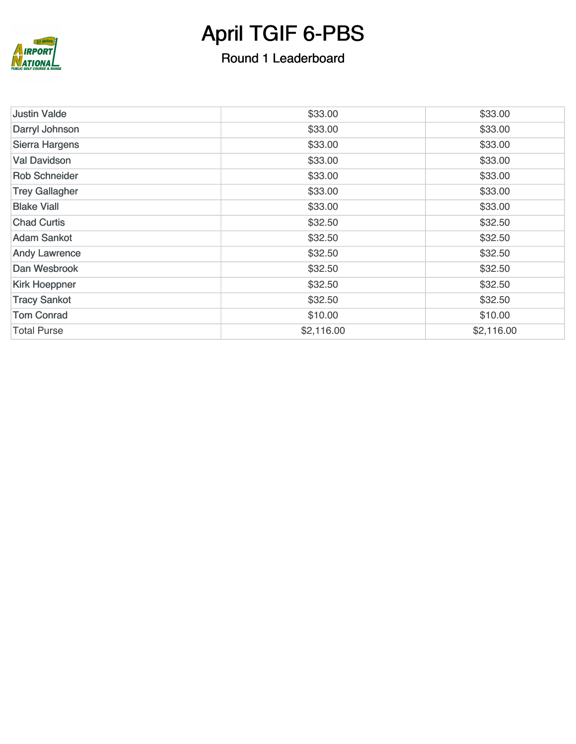

### Round 1 Leaderboard

| <b>Justin Valde</b>   | \$33.00    | \$33.00    |
|-----------------------|------------|------------|
| Darryl Johnson        | \$33.00    | \$33.00    |
| <b>Sierra Hargens</b> | \$33.00    | \$33.00    |
| <b>Val Davidson</b>   | \$33.00    | \$33.00    |
| <b>Rob Schneider</b>  | \$33.00    | \$33.00    |
| <b>Trey Gallagher</b> | \$33.00    | \$33.00    |
| <b>Blake Viall</b>    | \$33.00    | \$33.00    |
| <b>Chad Curtis</b>    | \$32.50    | \$32.50    |
| <b>Adam Sankot</b>    | \$32.50    | \$32.50    |
| <b>Andy Lawrence</b>  | \$32.50    | \$32.50    |
| Dan Wesbrook          | \$32.50    | \$32.50    |
| <b>Kirk Hoeppner</b>  | \$32.50    | \$32.50    |
| <b>Tracy Sankot</b>   | \$32.50    | \$32.50    |
| <b>Tom Conrad</b>     | \$10.00    | \$10.00    |
| <b>Total Purse</b>    | \$2,116.00 | \$2,116.00 |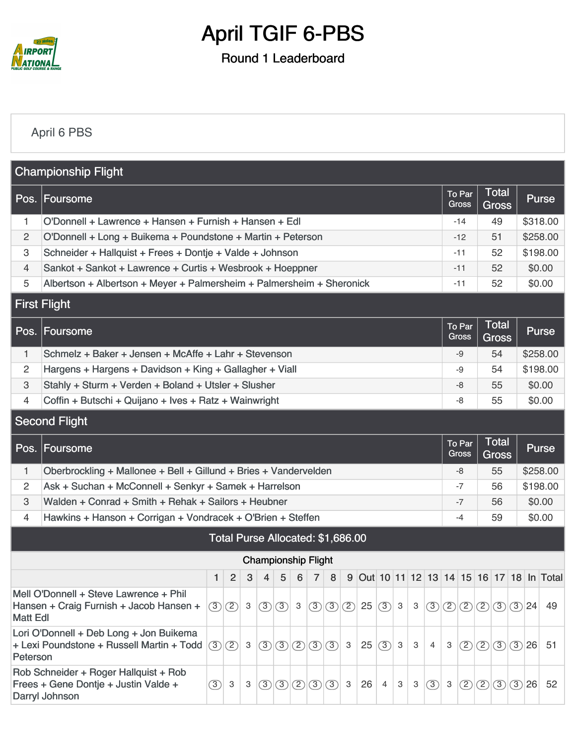

Round 1 Leaderboard

#### [April 6 PBS](https://static.golfgenius.com/v2tournaments/8430507397528715957?called_from=&round_index=1)

|                           | <b>Championship Flight</b>                                                                      |                                                                  |                                   |              |                |                                                        |   |                |         |              |                                             |                        |              |                        |                              |              |                 |                              |          |        |                                           |  |  |  |
|---------------------------|-------------------------------------------------------------------------------------------------|------------------------------------------------------------------|-----------------------------------|--------------|----------------|--------------------------------------------------------|---|----------------|---------|--------------|---------------------------------------------|------------------------|--------------|------------------------|------------------------------|--------------|-----------------|------------------------------|----------|--------|-------------------------------------------|--|--|--|
|                           | Pos. Foursome                                                                                   |                                                                  |                                   |              |                |                                                        |   |                |         |              |                                             |                        |              |                        |                              |              | To Par<br>Gross | <b>Total</b><br><b>Gross</b> |          |        | <b>Purse</b>                              |  |  |  |
| 1.                        | O'Donnell + Lawrence + Hansen + Furnish + Hansen + Edl                                          |                                                                  |                                   |              |                |                                                        |   |                |         |              |                                             |                        |              |                        |                              |              | $-14$           | 49                           |          |        | \$318.00                                  |  |  |  |
| 2                         | O'Donnell + Long + Buikema + Poundstone + Martin + Peterson                                     |                                                                  |                                   |              |                |                                                        |   |                |         |              |                                             |                        |              |                        |                              |              | $-12$           | 51                           |          |        | \$258.00                                  |  |  |  |
| $\ensuremath{\mathsf{3}}$ | Schneider + Hallquist + Frees + Dontje + Valde + Johnson                                        |                                                                  |                                   |              |                |                                                        |   |                |         |              |                                             |                        |              |                        |                              |              | $-11$           | 52                           |          |        | \$198.00                                  |  |  |  |
| $\overline{4}$            | Sankot + Sankot + Lawrence + Curtis + Wesbrook + Hoeppner                                       |                                                                  |                                   |              |                |                                                        |   |                |         |              |                                             |                        |              |                        |                              |              | $-11$           | 52                           |          | \$0.00 |                                           |  |  |  |
| 5                         | Albertson + Albertson + Meyer + Palmersheim + Palmersheim + Sheronick                           |                                                                  |                                   |              |                |                                                        |   |                |         |              |                                             |                        |              | $-11$                  | 52                           |              | \$0.00          |                              |          |        |                                           |  |  |  |
|                           | <b>First Flight</b>                                                                             |                                                                  |                                   |              |                |                                                        |   |                |         |              |                                             |                        |              |                        |                              |              |                 |                              |          |        |                                           |  |  |  |
|                           | Pos. Foursome                                                                                   |                                                                  |                                   |              |                |                                                        |   |                |         |              |                                             |                        |              | To Par<br><b>Gross</b> | <b>Total</b><br><b>Gross</b> |              | <b>Purse</b>    |                              |          |        |                                           |  |  |  |
| 1                         | Schmelz + Baker + Jensen + McAffe + Lahr + Stevenson                                            |                                                                  |                                   |              |                |                                                        |   |                |         |              |                                             |                        |              |                        | -9                           | 54           |                 |                              | \$258.00 |        |                                           |  |  |  |
| 2                         | Hargens + Hargens + Davidson + King + Gallagher + Viall                                         |                                                                  |                                   |              |                |                                                        |   |                |         |              |                                             |                        |              | -9                     | 54                           |              |                 | \$198.00                     |          |        |                                           |  |  |  |
| 3                         | Stahly + Sturm + Verden + Boland + Utsler + Slusher                                             |                                                                  |                                   |              |                |                                                        |   |                |         |              |                                             |                        |              |                        | -8                           | 55           |                 | \$0.00                       |          |        |                                           |  |  |  |
| $\overline{4}$            | Coffin + Butschi + Quijano + Ives + Ratz + Wainwright                                           |                                                                  |                                   |              |                |                                                        |   |                |         |              |                                             |                        |              |                        | -8                           | 55<br>\$0.00 |                 |                              |          |        |                                           |  |  |  |
| <b>Second Flight</b>      |                                                                                                 |                                                                  |                                   |              |                |                                                        |   |                |         |              |                                             |                        |              |                        |                              |              |                 |                              |          |        |                                           |  |  |  |
|                           | Pos. Foursome                                                                                   |                                                                  |                                   |              |                |                                                        |   |                |         |              |                                             | To Par<br><b>Gross</b> | <b>Total</b> |                        | <b>Purse</b>                 |              |                 |                              |          |        |                                           |  |  |  |
|                           |                                                                                                 | Oberbrockling + Mallonee + Bell + Gillund + Bries + Vandervelden |                                   |              |                |                                                        |   |                |         |              |                                             |                        |              |                        |                              |              |                 | <b>Gross</b>                 |          |        |                                           |  |  |  |
| 1.                        |                                                                                                 |                                                                  |                                   |              |                |                                                        |   |                |         |              |                                             |                        |              |                        |                              |              | -8              | 55                           |          |        | \$258.00                                  |  |  |  |
| 2                         | Ask + Suchan + McConnell + Senkyr + Samek + Harrelson                                           |                                                                  |                                   |              |                |                                                        |   |                |         |              |                                             |                        |              |                        |                              |              | -7              | 56                           |          |        | \$198.00                                  |  |  |  |
| $\ensuremath{\mathsf{3}}$ | Walden + Conrad + Smith + Rehak + Sailors + Heubner                                             |                                                                  |                                   |              |                |                                                        |   |                |         |              |                                             |                        |              |                        |                              |              | $-7$            | 56                           |          |        | \$0.00                                    |  |  |  |
| 4                         | Hawkins + Hanson + Corrigan + Vondracek + O'Brien + Steffen                                     |                                                                  |                                   |              |                |                                                        |   |                |         |              |                                             |                        |              |                        |                              |              | $-4$            | 59                           |          | \$0.00 |                                           |  |  |  |
|                           |                                                                                                 |                                                                  | Total Purse Allocated: \$1,686.00 |              |                |                                                        |   |                |         |              |                                             |                        |              |                        |                              |              |                 |                              |          |        |                                           |  |  |  |
|                           |                                                                                                 |                                                                  |                                   |              |                | <b>Championship Flight</b>                             |   |                |         |              |                                             |                        |              |                        |                              |              |                 |                              |          |        |                                           |  |  |  |
|                           |                                                                                                 | 1                                                                | $\overline{2}$                    | 3            | $\overline{4}$ | $\sqrt{5}$                                             | 6 | $\overline{7}$ | 8       |              |                                             |                        |              |                        |                              |              |                 |                              |          |        | 9 Out 10 11 12 13 14 15 16 17 18 In Total |  |  |  |
|                           | Mell O'Donnell + Steve Lawrence + Phil                                                          |                                                                  |                                   |              |                |                                                        |   |                |         |              |                                             |                        |              |                        |                              |              |                 |                              |          |        |                                           |  |  |  |
| <b>Matt Edl</b>           | Hansen + Craig Furnish + Jacob Hansen +                                                         |                                                                  | $\circled{3}$ $\circled{2}$       | $\mathbf{3}$ |                | (3)(3)3                                                |   | $\circled{3}$  |         |              | $\left  \circled{3} \right  \circled{2}$ 25 | (3)                    | 3            | 3                      | $\circled{3}$                |              |                 | 2(2)2(3)324                  |          |        | 49                                        |  |  |  |
| Peterson                  | Lori O'Donnell + Deb Long + Jon Buikema<br>+ Lexi Poundstone + Russell Martin + Todd            |                                                                  | (3)(2)                            | 3            |                | $\bigcirc$ $\bigcirc$ $\bigcirc$ $\bigcirc$ $\bigcirc$ |   |                | $\circ$ | $\mathbf{3}$ | 25                                          | $\circ$                | $\mathsf 3$  | 3                      | $\overline{4}$               | 3            | $\circled{2}$   | 2 3 3 26                     |          |        | 51                                        |  |  |  |
|                           | Rob Schneider + Roger Hallquist + Rob<br>Frees + Gene Dontje + Justin Valde +<br>Darryl Johnson | (3)                                                              | 3                                 | 3            |                | (3)(3)(2)(3)(3)                                        |   |                |         | 3            | 26                                          | $\overline{4}$         | 3            | 3                      | (3)                          | $\mathbf{3}$ | $\circled{2}$   | (2)(3)(3)26                  |          |        | 52                                        |  |  |  |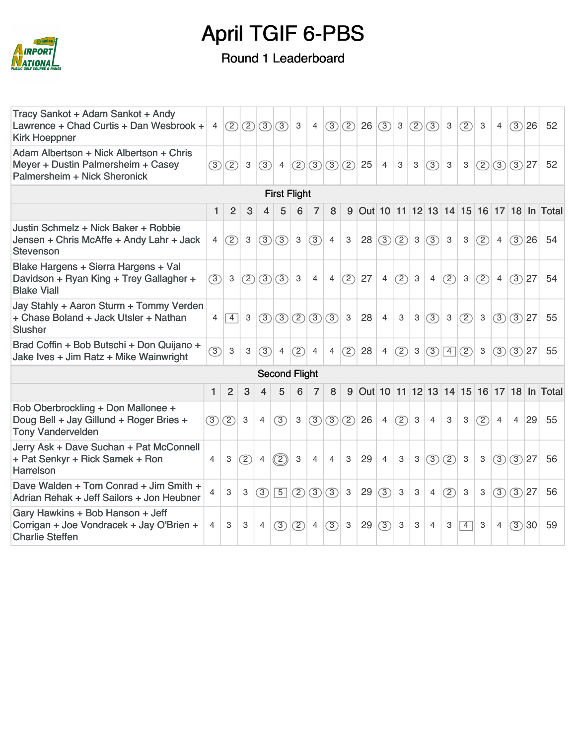

### Round 1 Leaderboard

| Tracy Sankot + Adam Sankot + Andy<br>Lawrence + Chad Curtis + Dan Wesbrook +<br><b>Kirk Hoeppner</b>          | $\overline{4}$ |                |             |                | (2)(2)(3)(3)            | $\mathbf{3}$  | 4              |                |              | $\langle 3 \langle 2\rangle  26 \langle 3\rangle  3 \langle 2\rangle$ |                |                           |                           |                | $\boxed{(3)}$ 3 | $(2)$ 3                   |              | $\overline{4}$ | (3)26          |    | 52                                        |
|---------------------------------------------------------------------------------------------------------------|----------------|----------------|-------------|----------------|-------------------------|---------------|----------------|----------------|--------------|-----------------------------------------------------------------------|----------------|---------------------------|---------------------------|----------------|-----------------|---------------------------|--------------|----------------|----------------|----|-------------------------------------------|
| Adam Albertson + Nick Albertson + Chris<br>Meyer + Dustin Palmersheim + Casey<br>Palmersheim + Nick Sheronick | (3)            | (2)            | $\mathbf 3$ | (3)            | $\overline{4}$          |               |                |                |              | $(2)(3)(3)(2)$ 25                                                     | $\overline{4}$ | $\ensuremath{\mathsf{3}}$ | 3                         | (3)            | $\mathbf{3}$    | 3                         |              | (2)(3)(3)27    |                |    | 52                                        |
|                                                                                                               |                |                |             |                | <b>First Flight</b>     |               |                |                |              |                                                                       |                |                           |                           |                |                 |                           |              |                |                |    |                                           |
|                                                                                                               | $\mathbf{1}$   | $\overline{2}$ | 3           | 4              | 5                       | 6             | $\overline{7}$ | 8              |              |                                                                       |                |                           |                           |                |                 |                           |              |                |                |    | 9 Out 10 11 12 13 14 15 16 17 18 In Total |
| Justin Schmelz + Nick Baker + Robbie<br>Jensen + Chris McAffe + Andy Lahr + Jack<br><b>Stevenson</b>          | $\overline{4}$ | (2)            | $\mathbf 3$ | (3)            | (3)                     | $\mathbf{3}$  | (3)            | $\overline{4}$ | 3            |                                                                       | 28(3)          | (2)                       | $\mathbf{3}$              | $\circ$        | 3               | 3                         | (2)          | 4              | (3)26          |    | 54                                        |
| Blake Hargens + Sierra Hargens + Val<br>Davidson + Ryan King + Trey Gallagher +<br><b>Blake Viall</b>         | (3)            | $\mathbf{3}$   |             |                | (2)(3)(3)               | 3             | $\overline{4}$ | $\overline{4}$ | (2)          | 27                                                                    | $\overline{4}$ | (2)                       | $\mathbf 3$               | $\overline{4}$ | (2)             | $\mathbf{3}$              | (2)          | 4              | $(3)$ 27       |    | 54                                        |
| Jay Stahly + Aaron Sturm + Tommy Verden<br>+ Chase Boland + Jack Utsler + Nathan<br><b>Slusher</b>            | 4              | $\overline{4}$ | 3           |                | $(3)$ $(3)$ $(2)$ $(3)$ |               |                | (3)            | $\mathbf{3}$ | 28                                                                    | $\overline{4}$ | $\ensuremath{\mathsf{3}}$ | $\mathbf{3}$              | (3)            | $\mathbf{3}$    | (2)                       | $\mathbf{3}$ |                | (3)(3)27       |    | 55                                        |
| Brad Coffin + Bob Butschi + Don Quijano +<br>Jake Ives + Jim Ratz + Mike Wainwright                           | $\circled{3}$  | $\mathbf 3$    | 3           | (3)            | $\overline{4}$          | (2)           | $\overline{4}$ | $\overline{4}$ | (2)          | 28                                                                    | $\overline{4}$ | (2)                       | $\mathbf{3}$              | (3)            |                 | $\vert 4 \vert (2) \vert$ | $\mathbf{3}$ |                | (3)(3) 27      |    | 55                                        |
|                                                                                                               |                |                |             |                | <b>Second Flight</b>    |               |                |                |              |                                                                       |                |                           |                           |                |                 |                           |              |                |                |    |                                           |
|                                                                                                               | $\mathbf{1}$   | 2              | 3           | 4              | 5                       | 6             | $\overline{7}$ | 8              |              |                                                                       |                |                           |                           |                |                 |                           |              |                |                |    | 9 Out 10 11 12 13 14 15 16 17 18 In Total |
| Rob Oberbrockling + Don Mallonee +<br>Doug Bell + Jay Gillund + Roger Bries +<br><b>Tony Vandervelden</b>     |                | (3)(2)         | 3           | 4              | (3)                     | 3             |                | (3)(3)(2)      |              | 26                                                                    | $\overline{4}$ | (2)                       | $\mathbf{3}$              | $\overline{4}$ | 3               | 3                         | (2)          | $\overline{4}$ | $\overline{4}$ | 29 | 55                                        |
| Jerry Ask + Dave Suchan + Pat McConnell<br>+ Pat Senkyr + Rick Samek + Ron<br><b>Harrelson</b>                | $\overline{4}$ | 3              | (2)         | $\overline{4}$ | $\circled{2}$           | 3             | $\overline{4}$ | $\overline{4}$ | 3            | 29                                                                    | $\overline{4}$ | 3                         | $\ensuremath{\mathsf{3}}$ | (3)            | (2)             | 3                         | 3            | (3)            | (3)27          |    | 56                                        |
| Dave Walden + Tom Conrad + Jim Smith +<br>Adrian Rehak + Jeff Sailors + Jon Heubner                           | 4              | 3              | 3           | $\circled{3}$  | $\boxed{5}$             | $\circled{2}$ | $\circled{3}$  | $\circled{3}$  | $\mathbf{3}$ | 29                                                                    | (3)            | $\mathbf 3$               | $\,3$                     | $\overline{4}$ | (2)             | 3                         | 3            | (3)            | $(3)$ 27       |    | 56                                        |
| Gary Hawkins + Bob Hanson + Jeff<br>Corrigan + Joe Vondracek + Jay O'Brien +<br><b>Charlie Steffen</b>        | $\overline{4}$ | 3              | 3           | $\overline{4}$ | (3)                     | (2)           | $\overline{4}$ | (3)            | $\mathbf{3}$ | 29                                                                    | (3)            | 3                         | 3                         | $\overline{4}$ | 3               | $\overline{4}$            | 3            | $\overline{4}$ | (3)30          |    | 59                                        |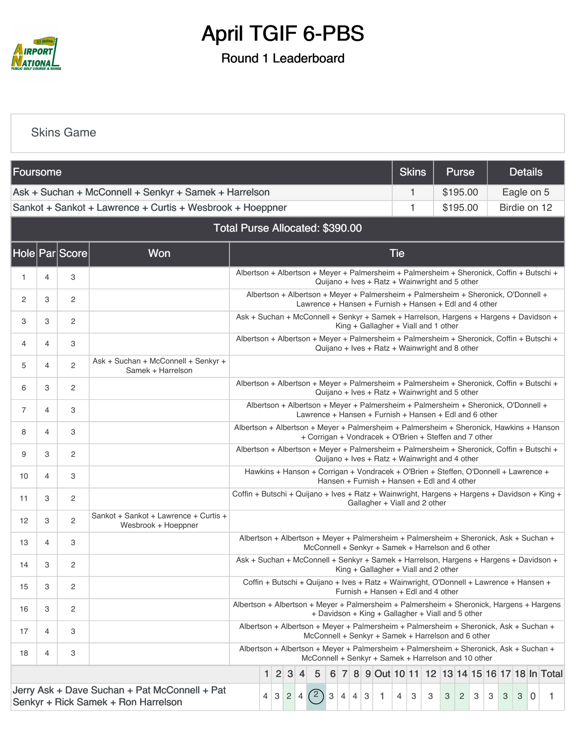

### Round 1 Leaderboard

#### [Skins Game](https://static.golfgenius.com/v2tournaments/8430509119105958582?called_from=&round_index=1)

| Foursome |   |                |                                                                                      |                                                                                                                                                                                                          |  |  |             |  |   |   | <b>Skins</b> | <b>Purse</b> |  | <b>Details</b> |  |            |   |                                                                                                                                              |          |  |            |  |                                                 |
|----------|---|----------------|--------------------------------------------------------------------------------------|----------------------------------------------------------------------------------------------------------------------------------------------------------------------------------------------------------|--|--|-------------|--|---|---|--------------|--------------|--|----------------|--|------------|---|----------------------------------------------------------------------------------------------------------------------------------------------|----------|--|------------|--|-------------------------------------------------|
|          |   |                | Ask + Suchan + McConnell + Senkyr + Samek + Harrelson                                |                                                                                                                                                                                                          |  |  |             |  |   |   |              |              |  |                |  |            | 1 |                                                                                                                                              | \$195.00 |  | Eagle on 5 |  |                                                 |
|          |   |                | Sankot + Sankot + Lawrence + Curtis + Wesbrook + Hoeppner                            |                                                                                                                                                                                                          |  |  |             |  |   |   |              |              |  |                |  |            | 1 |                                                                                                                                              | \$195.00 |  |            |  | Birdie on 12                                    |
|          |   |                |                                                                                      | Total Purse Allocated: \$390.00                                                                                                                                                                          |  |  |             |  |   |   |              |              |  |                |  |            |   |                                                                                                                                              |          |  |            |  |                                                 |
|          |   | Hole Par Score | Won                                                                                  |                                                                                                                                                                                                          |  |  |             |  |   |   |              |              |  |                |  | <b>Tie</b> |   |                                                                                                                                              |          |  |            |  |                                                 |
| 1        | 4 | 3              |                                                                                      | Albertson + Albertson + Meyer + Palmersheim + Palmersheim + Sheronick, Coffin + Butschi +<br>Quijano + Ives + Ratz + Wainwright and 5 other                                                              |  |  |             |  |   |   |              |              |  |                |  |            |   |                                                                                                                                              |          |  |            |  |                                                 |
| 2        | 3 | 2              |                                                                                      | Albertson + Albertson + Meyer + Palmersheim + Palmersheim + Sheronick, O'Donnell +<br>Lawrence + Hansen + Furnish + Hansen + Edl and 4 other                                                             |  |  |             |  |   |   |              |              |  |                |  |            |   |                                                                                                                                              |          |  |            |  |                                                 |
| З        | 3 | $\overline{c}$ |                                                                                      | Ask + Suchan + McConnell + Senkyr + Samek + Harrelson, Hargens + Hargens + Davidson +<br>King + Gallagher + Viall and 1 other                                                                            |  |  |             |  |   |   |              |              |  |                |  |            |   |                                                                                                                                              |          |  |            |  |                                                 |
| 4        | 4 | 3              |                                                                                      | Albertson + Albertson + Meyer + Palmersheim + Palmersheim + Sheronick, Coffin + Butschi +<br>Quijano + Ives + Ratz + Wainwright and 8 other                                                              |  |  |             |  |   |   |              |              |  |                |  |            |   |                                                                                                                                              |          |  |            |  |                                                 |
| 5        | 4 | $\overline{c}$ | Ask + Suchan + McConnell + Senkyr +<br>Samek + Harrelson                             |                                                                                                                                                                                                          |  |  |             |  |   |   |              |              |  |                |  |            |   |                                                                                                                                              |          |  |            |  |                                                 |
| 6        | 3 | $\overline{c}$ |                                                                                      | Albertson + Albertson + Meyer + Palmersheim + Palmersheim + Sheronick, Coffin + Butschi +<br>Quijano + Ives + Ratz + Wainwright and 5 other                                                              |  |  |             |  |   |   |              |              |  |                |  |            |   |                                                                                                                                              |          |  |            |  |                                                 |
| 7        | 4 | 3              |                                                                                      | Albertson + Albertson + Meyer + Palmersheim + Palmersheim + Sheronick, O'Donnell +<br>Lawrence + Hansen + Furnish + Hansen + Edl and 6 other                                                             |  |  |             |  |   |   |              |              |  |                |  |            |   |                                                                                                                                              |          |  |            |  |                                                 |
| 8        | 4 | 3              |                                                                                      | Albertson + Albertson + Meyer + Palmersheim + Palmersheim + Sheronick, Hawkins + Hanson<br>+ Corrigan + Vondracek + O'Brien + Steffen and 7 other                                                        |  |  |             |  |   |   |              |              |  |                |  |            |   |                                                                                                                                              |          |  |            |  |                                                 |
| 9        | 3 | $\overline{c}$ |                                                                                      | Albertson + Albertson + Meyer + Palmersheim + Palmersheim + Sheronick, Coffin + Butschi +                                                                                                                |  |  |             |  |   |   |              |              |  |                |  |            |   | Quijano + Ives + Ratz + Wainwright and 4 other                                                                                               |          |  |            |  |                                                 |
| 10       | 4 | 3              |                                                                                      |                                                                                                                                                                                                          |  |  |             |  |   |   |              |              |  |                |  |            |   | Hawkins + Hanson + Corrigan + Vondracek + O'Brien + Steffen, O'Donnell + Lawrence +<br>Hansen + Furnish + Hansen + Edl and 4 other           |          |  |            |  |                                                 |
| 11       | 3 | $\overline{c}$ |                                                                                      | Coffin + Butschi + Quijano + Ives + Ratz + Wainwright, Hargens + Hargens + Davidson + King +                                                                                                             |  |  |             |  |   |   |              |              |  |                |  |            |   | Gallagher + Viall and 2 other                                                                                                                |          |  |            |  |                                                 |
| 12       | 3 | $\overline{c}$ | Sankot + Sankot + Lawrence + Curtis +<br>Wesbrook + Hoeppner                         |                                                                                                                                                                                                          |  |  |             |  |   |   |              |              |  |                |  |            |   |                                                                                                                                              |          |  |            |  |                                                 |
| 13       | 4 | 3              |                                                                                      |                                                                                                                                                                                                          |  |  |             |  |   |   |              |              |  |                |  |            |   | Albertson + Albertson + Meyer + Palmersheim + Palmersheim + Sheronick, Ask + Suchan +<br>McConnell + Senkyr + Samek + Harrelson and 6 other  |          |  |            |  |                                                 |
| 14       | 3 | 2              |                                                                                      | Ask + Suchan + McConnell + Senkyr + Samek + Harrelson, Hargens + Hargens + Davidson +                                                                                                                    |  |  |             |  |   |   |              |              |  |                |  |            |   | King + Gallagher + Viall and 2 other                                                                                                         |          |  |            |  |                                                 |
| 15       | З | 2              |                                                                                      |                                                                                                                                                                                                          |  |  |             |  |   |   |              |              |  |                |  |            |   | Coffin + Butschi + Quijano + Ives + Ratz + Wainwright, O'Donnell + Lawrence + Hansen +<br>Furnish + Hansen + Edl and 4 other                 |          |  |            |  |                                                 |
| 16       | 3 | $\overline{c}$ |                                                                                      | Albertson + Albertson + Meyer + Palmersheim + Palmersheim + Sheronick, Hargens + Hargens                                                                                                                 |  |  |             |  |   |   |              |              |  |                |  |            |   | + Davidson + King + Gallagher + Viall and 5 other                                                                                            |          |  |            |  |                                                 |
| 17       | 4 | 3              |                                                                                      |                                                                                                                                                                                                          |  |  |             |  |   |   |              |              |  |                |  |            |   | Albertson + Albertson + Meyer + Palmersheim + Palmersheim + Sheronick, Ask + Suchan +<br>McConnell + Senkyr + Samek + Harrelson and 6 other  |          |  |            |  |                                                 |
| 18       | 4 | 3              |                                                                                      |                                                                                                                                                                                                          |  |  |             |  |   |   |              |              |  |                |  |            |   | Albertson + Albertson + Meyer + Palmersheim + Palmersheim + Sheronick, Ask + Suchan +<br>McConnell + Senkyr + Samek + Harrelson and 10 other |          |  |            |  |                                                 |
|          |   |                |                                                                                      |                                                                                                                                                                                                          |  |  | $1 \ 2 \ 3$ |  | 4 | 5 |              |              |  |                |  |            |   |                                                                                                                                              |          |  |            |  | 6 7 8 9 Out 10 11 12 13 14 15 16 17 18 In Total |
|          |   |                | Jerry Ask + Dave Suchan + Pat McConnell + Pat<br>Senkyr + Rick Samek + Ron Harrelson | (2)<br>$\mathbf{3}$<br>3<br>$\vert 4 \vert$<br>$\overline{0}$<br>$\overline{c}$<br>3<br>$\mathbf{1}$<br>3<br>3<br>3<br>3<br>3<br>3<br>4<br>$\vert 4 \vert$<br>4 <sup>1</sup><br>4<br>3<br>$\overline{2}$ |  |  |             |  |   |   |              |              |  |                |  |            |   |                                                                                                                                              |          |  |            |  |                                                 |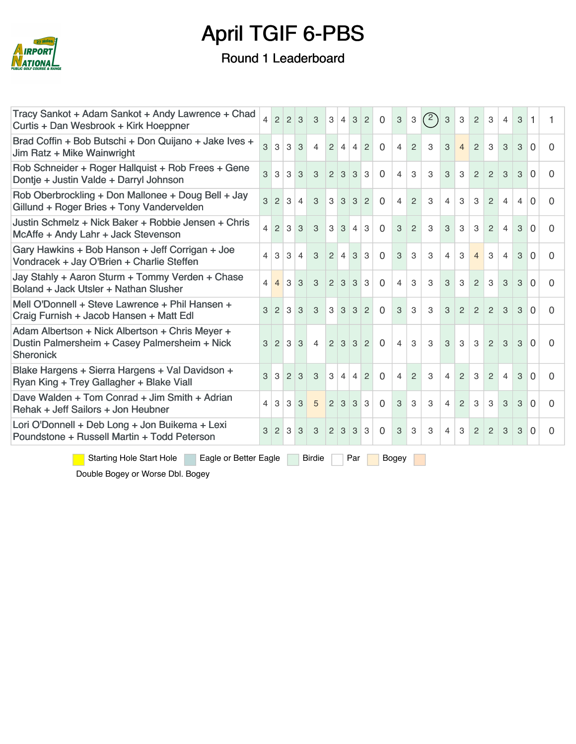

#### Round 1 Leaderboard

| Tracy Sankot + Adam Sankot + Andy Lawrence + Chad<br>Curtis + Dan Wesbrook + Kirk Hoeppner                           | $\overline{\mathcal{L}}$ | $2 \mid 2$     |                | 3              | 3              | 3              | $\overline{4}$    | $\mathbf{3}$   | $\overline{2}$ | $\mathbf 0$ | $\ensuremath{\mathsf{3}}$ | $\ensuremath{\mathsf{3}}$ | (2) | 3              | $\mathbf{3}$   | 2              | 3              | $\overline{4}$ | 3              | 1        |              |
|----------------------------------------------------------------------------------------------------------------------|--------------------------|----------------|----------------|----------------|----------------|----------------|-------------------|----------------|----------------|-------------|---------------------------|---------------------------|-----|----------------|----------------|----------------|----------------|----------------|----------------|----------|--------------|
| Brad Coffin + Bob Butschi + Don Quijano + Jake Ives +<br>Jim Ratz + Mike Wainwright                                  | 3                        | 3              | 3              | 3              | $\overline{4}$ | $\overline{2}$ | $\overline{4}$    | $\overline{4}$ | $\mathcal{P}$  | $\Omega$    | $\overline{4}$            | $\overline{2}$            | 3   | 3              | $\overline{4}$ | $\mathcal{P}$  | 3              | 3              | 3              | $\Omega$ | 0            |
| Rob Schneider + Roger Hallquist + Rob Frees + Gene<br>Dontje + Justin Valde + Darryl Johnson                         | 3                        | $\mathcal{S}$  | 3              | 3              | $\mathbf{3}$   |                | $2 \mid 3$        | 3              | $\vert$ 3      | $\Omega$    | 4                         | 3                         | 3   | 3              | 3              | $\overline{2}$ | $\mathcal{P}$  | 3              | $\mathcal{S}$  | $\Omega$ | 0            |
| Rob Oberbrockling + Don Mallonee + Doug Bell + Jay<br>Gillund + Roger Bries + Tony Vandervelden                      | 3                        | $\overline{2}$ | 3              | $\overline{4}$ | 3              | 3              | 3                 | 3              | $\overline{2}$ | $\mathbf 0$ | 4                         | $\overline{2}$            | 3   | $\overline{4}$ | 3              | 3              | 2              | 4              | $\overline{4}$ | $\Omega$ | 0            |
| Justin Schmelz + Nick Baker + Robbie Jensen + Chris<br>McAffe + Andy Lahr + Jack Stevenson                           | $\overline{\mathcal{L}}$ | $\overline{2}$ | 3              | 3              | 3              | 3              | 3                 | $\overline{4}$ | 3              | $\mathbf 0$ | 3                         | $\overline{c}$            | 3   | 3              | 3              | 3              | $\overline{2}$ | 4              | 3              | $\Omega$ | 0            |
| Gary Hawkins + Bob Hanson + Jeff Corrigan + Joe<br>Vondracek + Jay O'Brien + Charlie Steffen                         | 4                        | 3              | 3              | $\overline{4}$ | 3              | 2              | $\overline{4}$    | 3              | 3              | $\mathbf 0$ | 3                         | 3                         | 3   | $\overline{4}$ | 3              | $\overline{4}$ | 3              | $\overline{4}$ | 3              | $\Omega$ | 0            |
| Jay Stahly + Aaron Sturm + Tommy Verden + Chase<br>Boland + Jack Utsler + Nathan Slusher                             | 4                        | $\overline{4}$ | 3              | 3              | 3              | 2 <sup>1</sup> | 3                 | 3              | 3              | $\Omega$    | 4                         | 3                         | 3   | 3              | 3              | 2              | 3              | 3              | 3              | $\Omega$ | 0            |
| Mell O'Donnell + Steve Lawrence + Phil Hansen +<br>Craig Furnish + Jacob Hansen + Matt Edl                           | 3                        | $\overline{2}$ | 3              | 3              | 3              |                | $3 \mid 3 \mid$   | $\mathbf{3}$   | $\overline{2}$ | $\mathbf 0$ | 3                         | 3                         | 3   | 3              | 2              | $\overline{2}$ | $\overline{2}$ | 3              | 3              | $\Omega$ | 0            |
| Adam Albertson + Nick Albertson + Chris Meyer +<br>Dustin Palmersheim + Casey Palmersheim + Nick<br><b>Sheronick</b> | 3                        | 2 <sup>1</sup> | 3              | 3              | $\overline{4}$ |                | $2 \mid 3 \mid 3$ |                | $\overline{2}$ | $\Omega$    | 4                         | 3                         | 3   | 3              | 3              | 3              | 2              | 3              | 3              | $\Omega$ | <sup>0</sup> |
| Blake Hargens + Sierra Hargens + Val Davidson +<br>Ryan King + Trey Gallagher + Blake Viall                          | 3                        | 3              | $\overline{2}$ | 3              | 3              | 3              | $\overline{4}$    | $\overline{4}$ | $\overline{2}$ | $\mathbf 0$ | $\overline{4}$            | $\overline{2}$            | 3   | $\overline{4}$ | $\overline{2}$ | 3              | 2              | $\overline{4}$ | 3              | $\Omega$ | $\Omega$     |
| Dave Walden + Tom Conrad + Jim Smith + Adrian<br>Rehak + Jeff Sailors + Jon Heubner                                  | 4                        | 3              | 3              | 3              | 5              | 2              | 3                 | 3              | 3              | $\mathbf 0$ | 3                         | 3                         | 3   | 4              | $\overline{2}$ | 3              | 3              | 3              | 3              | $\Omega$ | 0            |
| Lori O'Donnell + Deb Long + Jon Buikema + Lexi<br>Poundstone + Russell Martin + Todd Peterson                        | 3                        | 2              | 3              | 3              | 3              |                | $2 \mid 3$        | 3              | 3              | $\mathbf 0$ | 3                         | 3                         | 3   | $\overline{4}$ | 3              | $\overline{2}$ | 2              | 3              | 3              | $\Omega$ | 0            |
| <b>Starting Hole Start Hole</b><br>Eagle or Better Eagle<br><b>Birdie</b><br>Par<br>Bogey                            |                          |                |                |                |                |                |                   |                |                |             |                           |                           |     |                |                |                |                |                |                |          |              |

Double Bogey or Worse Dbl. Bogey